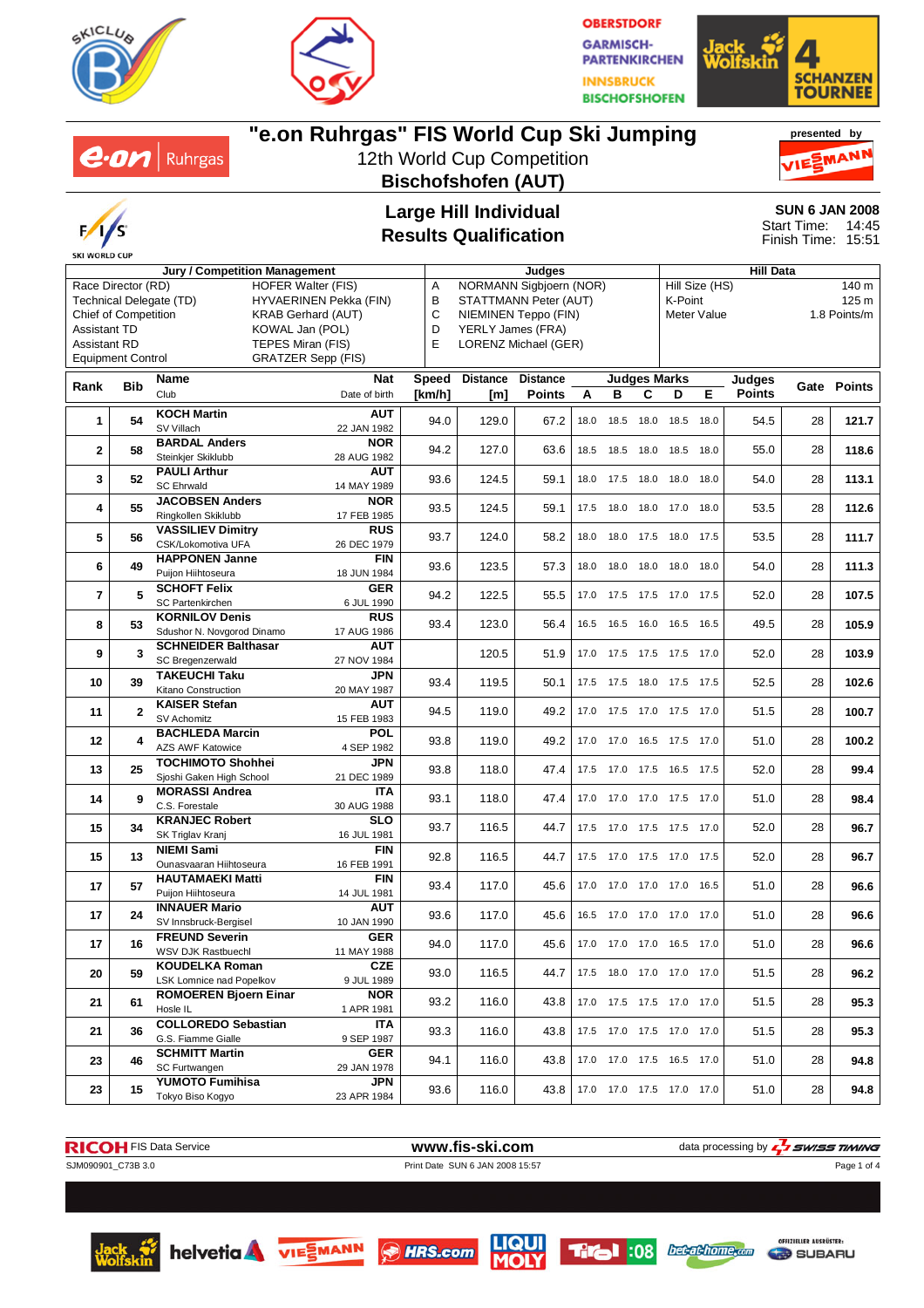





#### $e$ *on* | Ruhrgas MANI 12th World Cup Competition **Bischofshofen (AUT) Large Hill Individual** Start Time: **Results Qualification** Finish Time: 15:51 **Jury / Competition Management Judges Hill Data** A NORMANN Sigbjoern (NOR) Hill Size (HS) 140 m Race Director (RD) HOFER Walter (FIS) Technical Delegate (TD) HYVAERINEN Pekka (FIN)<br>Chief of Competition KRAB Gerhard (AUT) B STATTMANN Peter (AUT) K-Point 125 m KRAB Gerhard (AUT) C NIEMINEN Teppo (FIN) Meter Value 1.8 Points/m Assistant TD KOWAL Jan (POL) D YERLY James (FRA) Assistant RD TEPES Miran (FIS) E LORENZ Michael (GER) Equipment Control GRATZER Sepp (FIS) **Rank Bib Name Nat Speed Distance Distance Judges Marks Judges Points Gate Points** Club Date of birth **[km/h] [m] Points ABCDE 1 54 KOCH Martin <b>AUT**<br> **1 54 SV** Villach **22 JAN 1982** SV Villach 22 JAN 1982 94.0 129.0 67.2 18.0 18.5 18.0 18.5 18.0 54.5 <sup>28</sup> **121.7 2** 58 **BARDAL Anders NOR**<br> **28** AUG 1982 Steinkjer Skiklubb 28 AUG 1982 94.2 127.0 63.6 18.5 18.5 18.0 18.5 18.0 55.0 <sup>28</sup> **118.6 3** 52 **PAULI Arthur AUT**<br>SC Ehrwald **14 MAY 1989** SC Ehrwald 14 MAY 1989 93.6 124.5 59.1 18.0 17.5 18.0 18.0 18.0 54.0 <sup>28</sup> **113.1 4** 55 **JACOBSEN Anders** NOR<br>
Ringkollen Skiklubb 17 FEB 1985 Ringkollen Skiklubb 17 FEB 1985 93.5 124.5 59.1 17.5 18.0 18.0 17.0 18.0 53.5 <sup>28</sup> **112.6 5 56 VASSILIEV Dimitry RUS**<br>CSK/Lokomotiva UFA 26 DEC 1979 CSK/Lokomotiva UFA 26 DEC 1979 93.7 124.0 58.2 18.0 18.0 17.5 18.0 17.5 53.5 <sup>28</sup> **111.7 6 49 HAPPONEN Janne FIN**<br>**6 49 Pullon Hilhtoseura 18 JUN 1984** Puijon Hiihtoseura 18 JUN 1984 93.6 123.5 57.3 18.0 18.0 18.0 18.0 18.0 54.0 <sup>28</sup> **111.3 7** 5 **SCHOFT Felix GER**<br>**8 SC Partenkirchen 6 JUL 1990** SC Partenkirchen 6 JUL 1990 94.2 122.5 55.5 17.0 17.5 17.5 17.0 17.5 52.0 <sup>28</sup> **107.5 8** 53 **KORNILOV Denis** RUS<br> **8** 53 Sdushor N. Novgorod Dinamo 17 AUG 1986 Sdushor N. Novgorod Dinamo 17 AUG 1986 93.4 123.0 56.4 16.5 16.5 16.0 16.5 16.5 49.5 <sup>28</sup> **105.9 9 3 SCHNEIDER Balthasar AUT**<br>**9 3 SC Bregenzenwald 27 NOV 1984** SC Bregenzerwald 27 NOV 1984 120.5 51.9 17.0 17.5 17.5 17.5 17.0 52.0 <sup>28</sup> **103.9 10 39 TAKEUCHI Taku JPN** Kitano Construction 20 MAY 1987 93.4 119.5 50.1 17.5 17.5 18.0 17.5 17.5 52.5 <sup>28</sup> **102.6 11 2 KAISER Stefan AUT** SV Achomitz 15 FEB 1983 94.5 119.0 49.2 17.0 17.5 17.0 17.5 17.0 51.5 <sup>28</sup> **100.7 12 4 BACHLEDA Marcin POL**<br>**4 AZS AWE Katowice 4 SEP 1982** ACCORDINATION MATCH **1982** 93.8 119.0 49.2 17.0 17.0 16.5 17.5 17.0 51.0 28 100.2 **13 25 TOCHIMOTO Shohhei JPN**<br>Sioshi Gaken High School **21 DEC 1989 Sioshi Gaken High School 21 DEC 1989** 93.8 118.0 47.4 17.5 17.0 17.5 16.5 17.5 52.0 28 99.4 **14** 9 **MORASSI Andrea ITA**<br>**14** 9 **C.S. Forestale 30 AUG 1988** C.S. Forestale 30 AUG 1988 93.1 118.0 47.4 17.0 17.0 17.0 17.5 17.0 51.0 <sup>28</sup> **98.4 15 34 KRANJEC Robert SLO**<br>**16 JUL 1981** SK Triglav Kranj **16 JUL 1981** SK Triglav Kranj 16 JUL 1981 93.7 116.5 44.7 17.5 17.0 17.5 17.5 17.0 52.0 <sup>28</sup> **96.7 15 13 NIEMI Sami FIN** Ounasvaaran Hiihtoseura 16 FEB 1991 92.8 116.5 44.7 17.5 17.0 17.5 17.0 17.5 52.0 <sup>28</sup> **96.7 17 57 HAUTAMAEKI Matti FIN**<br>**14 JUL 1981** Puijon Hiihtoseura 14 JUL 1981 Puijon Hiihtoseura 14 JUL 1981 93.4 117.0 45.6 17.0 17.0 17.0 17.0 16.5 51.0 <sup>28</sup> **96.6 17 24 INNAUER Mario AUT**<br> **17 24 SV Innsbruck-Bergisel** 10 JAN 1990 SV Innsbruck-Bergisel 10 JAN 1990 93.6 117.0 45.6 16.5 17.0 17.0 17.0 17.0 51.0 <sup>28</sup> **96.6**

**"e.on Ruhrgas" FIS World Cup Ski Jumping**

**SKI WORLD CUP** 

SJM090901\_C73B 3.0 Print Date SUN 6 JAN 2008 15:57

**RICOH** FIS Data Service **www.fis-ski.com** data processing by  $\frac{7}{2}$  SWISS TIMING

**17 16 FREUND Severin GER**<br>**11 MAY 1988** MSV DJK Rastbuech **11 MAY 1988** 

**20 59 KOUDELKA Roman CZE**<br>LSK Lomnice nad Popelkov 9 JUL 1989

**21** 61 **ROMOEREN Bjoern Einar NOR**<br>1 **APR** 1981

**21** 36 **COLLOREDO Sebastian** ITA<br> **21** 36 **G.S. Fiamme Gialle** 9 SEP 1987

**23** 46 **SCHMITT Martin GER**<br>SC Furtwangen 29 JAN 1978

**23** 15 **YUMOTO Fumihisa** JPN<br>Tokyo Biso Kogyo 23 APR 1984





WSV DJK Rastbuechl 11 MAY 1988 94.0 117.0 45.6 17.0 17.0 17.0 16.5 17.0 51.0 <sup>28</sup> **96.6**

LSK Lomnice nad Popelkov 9 JUL 1989 93.0 116.5 44.7 17.5 18.0 17.0 17.0 17.0 51.5 <sup>28</sup> **96.2**

Hosle IL 1 APR 1981 93.2 116.0 43.8 17.0 17.5 17.5 17.0 17.0 51.5 <sup>28</sup> **95.3**

G.S. Fiamme Gialle 9 SEP 1987 93.3 116.0 43.8 17.5 17.0 17.5 17.0 17.0 51.5 <sup>28</sup> **95.3**

SC Furtwangen 29 JAN 1978 94.1 116.0 43.8 17.0 17.0 17.5 16.5 17.0 51.0 <sup>28</sup> **94.8**

Tokyo Biso Kogyo 23 APR 1984 93.6 116.0 43.8 17.0 17.0 17.5 17.0 17.0 51.0 <sup>28</sup> **94.8**







Page 1 of 4



**presented by**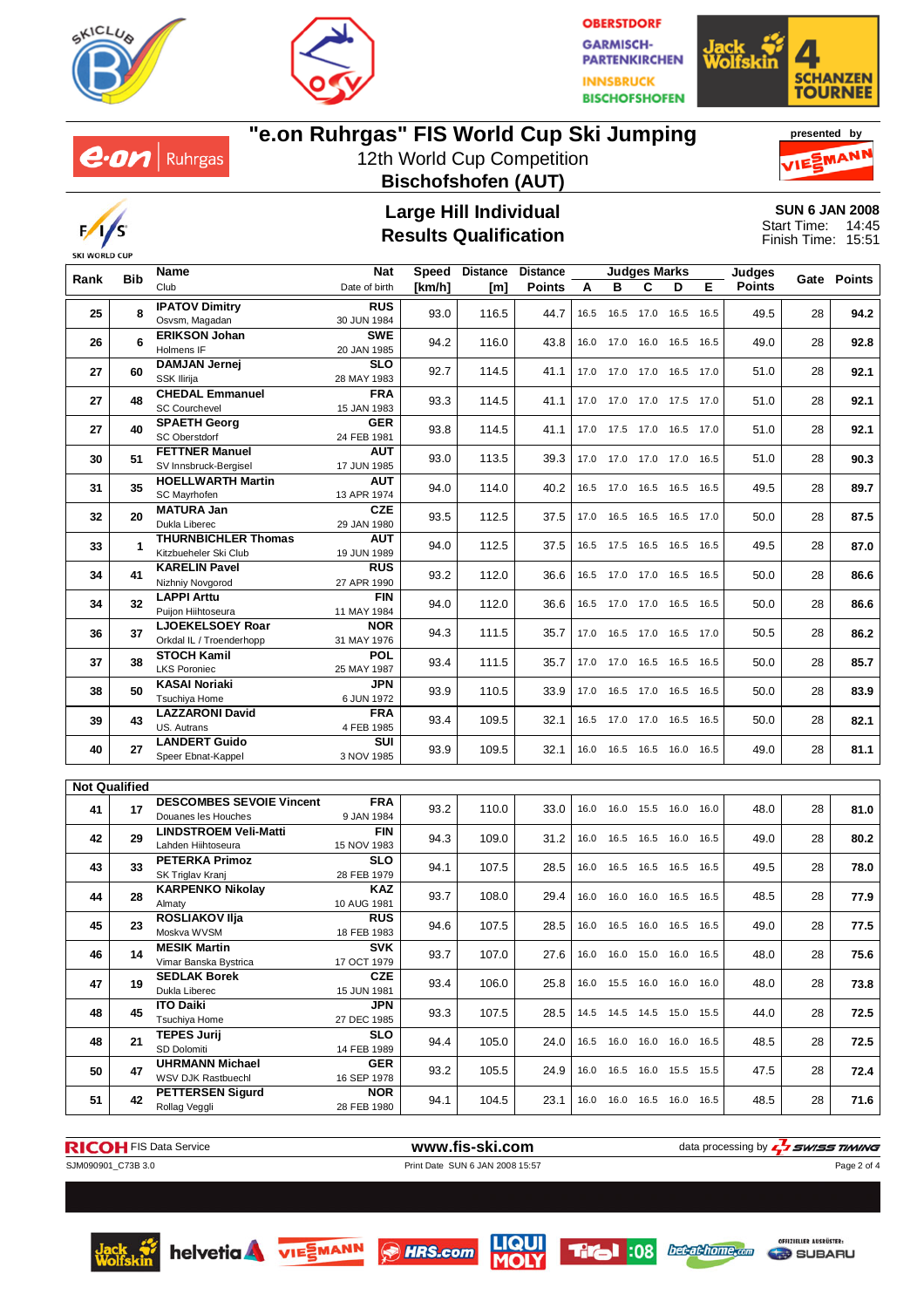







# **"e.on Ruhrgas" FIS World Cup Ski Jumping**

12th World Cup Competition **Bischofshofen (AUT)**





#### **Large Hill Individual Results Qualification**

**SUN 6 JAN 2008** 14:45 15:51 Start Time: Finish Time:

|                      | <b>Bib</b> | Name                                           | <b>Nat</b><br>Speed               |        | <b>Distance</b> | <b>Distance</b> |      | <b>Judges Marks</b>          |                |           | Judges      |      |    |      |
|----------------------|------------|------------------------------------------------|-----------------------------------|--------|-----------------|-----------------|------|------------------------------|----------------|-----------|-------------|------|----|------|
| Rank                 |            | Club                                           | Date of birth                     | [km/h] | [m]             | <b>Points</b>   | А    | в<br>C<br>D<br>Е             | <b>Points</b>  |           | Gate Points |      |    |      |
| 25                   | 8          | <b>IPATOV Dimitry</b>                          | <b>RUS</b>                        | 93.0   | 116.5           | 44.7            | 16.5 |                              | 16.5 17.0 16.5 |           | 16.5        | 49.5 | 28 | 94.2 |
|                      |            | Osvsm, Magadan                                 | 30 JUN 1984                       |        |                 |                 |      |                              |                |           |             |      |    |      |
| 26                   | 6          | <b>ERIKSON Johan</b><br>Holmens IF             | <b>SWE</b><br>94.2<br>20 JAN 1985 |        | 116.0           | 43.8            | 16.0 | 17.0                         | 16.0           | 16.5      | 16.5        | 49.0 | 28 | 92.8 |
|                      |            | DAMJAN Jernej                                  | <b>SLO</b>                        |        |                 |                 |      |                              |                |           |             |      |    |      |
| 27                   | 60         | SSK Ilirija                                    | 28 MAY 1983                       | 92.7   | 114.5           | 41.1            |      | 17.0 17.0 17.0 16.5          |                |           | 17.0        | 51.0 | 28 | 92.1 |
|                      |            | <b>CHEDAL Emmanuel</b>                         | <b>FRA</b>                        |        |                 |                 |      |                              |                |           |             |      |    |      |
| 27                   | 48         | <b>SC Courchevel</b>                           | 15 JAN 1983                       | 93.3   | 114.5           | 41.1            |      | 17.0 17.0 17.0 17.5          |                |           | 17.0        | 51.0 | 28 | 92.1 |
| 27                   | 40         | <b>SPAETH Georg</b>                            | <b>GER</b>                        | 93.8   | 114.5           | 41.1            |      | 17.0 17.5 17.0 16.5          |                |           | 17.0        | 51.0 | 28 | 92.1 |
|                      |            | <b>SC Oberstdorf</b>                           | 24 FEB 1981                       |        |                 |                 |      |                              |                |           |             |      |    |      |
| 30                   | 51         | <b>FETTNER Manuel</b>                          | AUT                               | 93.0   | 113.5           | 39.3            |      | 17.0  17.0  17.0  17.0       |                |           | 16.5        | 51.0 | 28 | 90.3 |
|                      |            | SV Innsbruck-Bergisel                          | 17 JUN 1985                       |        |                 |                 |      |                              |                |           |             |      |    |      |
| 31                   | 35         | <b>HOELLWARTH Martin</b>                       | <b>AUT</b>                        | 94.0   | 114.0           | 40.2            |      | 16.5 17.0 16.5 16.5          |                |           | 16.5        | 49.5 | 28 | 89.7 |
|                      |            | SC Mayrhofen<br><b>MATURA Jan</b>              | 13 APR 1974<br><b>CZE</b>         |        |                 |                 |      |                              |                |           |             |      |    |      |
| 32                   | 20         | Dukla Liberec                                  | 29 JAN 1980                       | 93.5   | 112.5           | 37.5            |      | 17.0  16.5  16.5  16.5  17.0 |                |           |             | 50.0 | 28 | 87.5 |
|                      |            | <b>THURNBICHLER Thomas</b>                     | <b>AUT</b>                        |        |                 |                 |      |                              |                |           |             |      |    |      |
| 33                   | 1          | Kitzbueheler Ski Club                          | 19 JUN 1989                       | 94.0   | 112.5           | 37.5            |      | 16.5 17.5 16.5 16.5          |                |           | 16.5        | 49.5 | 28 | 87.0 |
|                      |            | <b>KARELIN Pavel</b>                           | <b>RUS</b>                        |        |                 |                 |      |                              |                |           |             |      |    |      |
| 34                   | 41         | Nizhniy Novgorod                               | 27 APR 1990                       | 93.2   | 112.0           | 36.6            | 16.5 | 17.0 17.0 16.5               |                |           | 16.5        | 50.0 | 28 | 86.6 |
| 34                   | 32         | <b>LAPPI Arttu</b>                             | <b>FIN</b>                        | 94.0   | 112.0           | 36.6            |      | 16.5 17.0                    | 17.0 16.5      |           | 16.5        | 50.0 | 28 | 86.6 |
|                      |            | Puijon Hiihtoseura                             | 11 MAY 1984                       |        |                 |                 |      |                              |                |           |             |      |    |      |
| 36                   | 37         | <b>LJOEKELSOEY Roar</b>                        | <b>NOR</b><br>31 MAY 1976         | 94.3   | 111.5           | 35.7            |      | 17.0  16.5  17.0  16.5       |                |           | 17.0        | 50.5 | 28 | 86.2 |
|                      |            | Orkdal IL / Troenderhopp<br><b>STOCH Kamil</b> | <b>POL</b>                        |        |                 |                 |      |                              |                |           |             |      |    |      |
| 37                   | 38         | <b>LKS Poroniec</b>                            | 25 MAY 1987                       | 93.4   | 111.5           | 35.7            |      | 17.0 17.0 16.5 16.5          |                |           | 16.5        | 50.0 | 28 | 85.7 |
|                      |            | <b>KASAI Noriaki</b>                           | <b>JPN</b>                        |        |                 |                 |      |                              |                |           |             |      |    |      |
| 38                   | 50         | <b>Tsuchiva Home</b>                           | 6 JUN 1972                        | 93.9   | 110.5           | 33.9            | 17.0 |                              | 16.5 17.0 16.5 |           | 16.5        | 50.0 | 28 | 83.9 |
| 39                   | 43         | <b>LAZZARONI David</b>                         | <b>FRA</b>                        | 93.4   | 109.5           | 32.1            |      | 16.5 17.0 17.0 16.5 16.5     |                |           |             | 50.0 | 28 | 82.1 |
|                      |            | US. Autrans                                    | 4 FEB 1985                        |        |                 |                 |      |                              |                |           |             |      |    |      |
| 40                   | 27         | <b>LANDERT Guido</b>                           | SUI                               | 93.9   | 109.5           | 32.1            |      | 16.0  16.5  16.5  16.0       |                |           | 16.5        | 49.0 | 28 | 81.1 |
|                      |            | Speer Ebnat-Kappel                             | 3 NOV 1985                        |        |                 |                 |      |                              |                |           |             |      |    |      |
| <b>Not Qualified</b> |            |                                                |                                   |        |                 |                 |      |                              |                |           |             |      |    |      |
|                      |            | <b>DESCOMBES SEVOIE Vincent</b>                | <b>FRA</b>                        |        |                 |                 |      |                              |                |           |             |      |    |      |
| 41                   | 17         | Douanes les Houches                            | 9 JAN 1984                        | 93.2   | 110.0           | 33.0            | 16.0 | 16.0                         |                | 15.5 16.0 | 16.0        | 48.0 | 28 | 81.0 |
| 42                   | 29         | <b>LINDSTROEM Veli-Matti</b>                   | <b>FIN</b>                        | 94.3   | 109.0           | 31.2            | 16.0 | 16.5                         | 16.5           | 16.0      | 16.5        | 49.0 | 28 | 80.2 |
|                      |            | Lahden Hiihtoseura                             | 15 NOV 1983                       |        |                 |                 |      |                              |                |           |             |      |    |      |
| 43                   | 33         | <b>PETERKA Primoz</b>                          | <b>SLO</b>                        | 94.1   | 107.5           | 28.5            |      | 16.0 16.5 16.5 16.5          |                |           | 16.5        | 49.5 | 28 | 78.0 |
|                      |            | SK Triglav Kranj<br><b>KARPENKO Nikolay</b>    | 28 FEB 1979<br>KAZ                |        |                 |                 |      |                              |                |           |             |      |    |      |
| 44                   | 28         | Almaty                                         | 10 AUG 1981                       | 93.7   | 108.0           | 29.4            | 16.0 | 16.0                         |                | 16.0 16.5 | 16.5        | 48.5 | 28 | 77.9 |
|                      |            | <b>ROSLIAKOV IIja</b>                          | <b>RUS</b>                        |        |                 |                 |      |                              |                |           |             |      |    |      |
| 45                   | 23         | Moskva WVSM                                    | 18 FEB 1983                       | 94.6   | 107.5           | 28.5            |      | 16.0 16.5 16.0 16.5 16.5     |                |           |             | 49.0 | 28 | 77.5 |
| 46                   | 14         | <b>MESIK Martin</b>                            | <b>SVK</b>                        | 93.7   | 107.0           | 27.6            |      | 16.0  16.0  15.0  16.0       |                |           | 16.5        | 48.0 | 28 | 75.6 |
|                      |            | Vimar Banska Bystrica                          | 17 OCT 1979                       |        |                 |                 |      |                              |                |           |             |      |    |      |
| 47                   | 19         | <b>SEDLAK Borek</b>                            | <b>CZE</b>                        | 93.4   | 106.0           | 25.8            |      | 16.0  15.5  16.0  16.0  16.0 |                |           |             | 48.0 | 28 | 73.8 |
|                      |            | Dukla Liberec                                  | 15 JUN 1981                       |        |                 |                 |      |                              |                |           |             |      |    |      |
| 48                   | 45         | <b>ITO Daiki</b><br>Tsuchiya Home              | JPN<br>27 DEC 1985                | 93.3   | 107.5           | 28.5            |      | 14.5 14.5 14.5 15.0 15.5     |                |           |             | 44.0 | 28 | 72.5 |
|                      |            | <b>TEPES Jurij</b>                             | <b>SLO</b>                        |        |                 |                 |      |                              |                |           |             |      |    |      |
| 48                   | 21         | SD Dolomiti                                    | 14 FEB 1989                       | 94.4   | 105.0           | 24.0            |      | 16.5  16.0  16.0  16.0       |                |           | 16.5        | 48.5 | 28 | 72.5 |
| 50                   | 47         | <b>UHRMANN Michael</b>                         | <b>GER</b>                        | 93.2   | 105.5           | 24.9            |      | 16.0 16.5 16.0 15.5 15.5     |                |           |             | 47.5 | 28 | 72.4 |
|                      |            | WSV DJK Rastbuechl                             | 16 SEP 1978                       |        |                 |                 |      |                              |                |           |             |      |    |      |
| 51                   | 42         | <b>PETTERSEN Sigurd</b>                        | <b>NOR</b>                        | 94.1   | 104.5           | 23.1            |      | 16.0 16.0 16.5 16.0 16.5     |                |           |             | 48.5 | 28 | 71.6 |
|                      |            | Rollag Veggli                                  | 28 FEB 1980                       |        |                 |                 |      |                              |                |           |             |      |    |      |









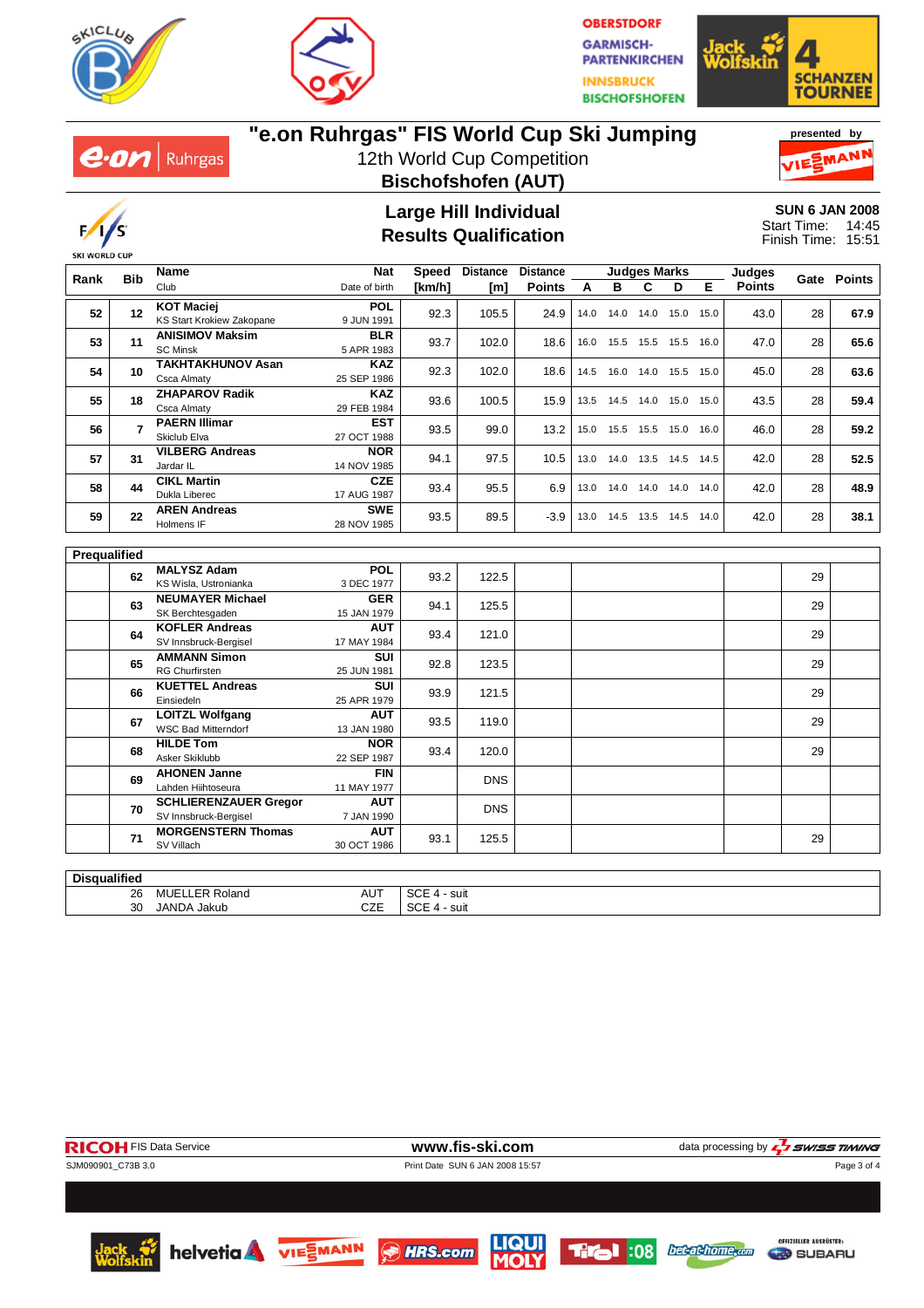







# **"e.on Ruhrgas" FIS World Cup Ski Jumping**

12th World Cup Competition **Bischofshofen (AUT)**





#### **Large Hill Individual Results Qualification**

**SUN 6 JAN 2008** 14:45 15:51 Start Time: Finish Time:

|                     | <b>Bib</b>     | <b>Name</b>                                         |                           | <b>Nat</b><br><b>Speed</b> |            | <b>Distance</b><br><b>Distance</b> |      | <b>Judges Marks</b>          |                |                              |      |               |      | Gate Points |
|---------------------|----------------|-----------------------------------------------------|---------------------------|----------------------------|------------|------------------------------------|------|------------------------------|----------------|------------------------------|------|---------------|------|-------------|
| Rank                |                | Club                                                | Date of birth             | [km/h]                     | [m]        | <b>Points</b>                      | A    | B                            | C              | D                            | Е    | <b>Points</b> |      |             |
| 52                  |                | <b>KOT Maciej</b>                                   | <b>POL</b>                | 92.3                       | 105.5      | 24.9                               | 14.0 |                              | 14.0 14.0 15.0 |                              |      |               |      |             |
|                     | $12 \,$        | KS Start Krokiew Zakopane                           | 9 JUN 1991                |                            |            |                                    |      |                              |                |                              | 15.0 | 43.0          | 28   | 67.9        |
| 53                  | 11             | <b>ANISIMOV Maksim</b>                              | <b>BLR</b>                | 93.7                       | 102.0      | 18.6                               |      |                              |                | 16.0 15.5 15.5 15.5 16.0     |      | 47.0          | 28   | 65.6        |
|                     |                | <b>SC Minsk</b>                                     | 5 APR 1983                |                            |            |                                    |      |                              |                |                              |      |               |      |             |
| 54                  | 10             | <b>TAKHTAKHUNOV Asan</b>                            | <b>KAZ</b>                | 92.3                       | 102.0      | 18.6                               | 14.5 |                              | 16.0 14.0 15.5 |                              | 15.0 | 45.0          | 28   | 63.6        |
|                     |                | Csca Almaty<br><b>ZHAPAROV Radik</b>                | 25 SEP 1986<br><b>KAZ</b> |                            |            |                                    |      |                              |                |                              |      |               |      |             |
| 55                  | 18             | Csca Almaty                                         | 29 FEB 1984               | 93.6                       | 100.5      | 15.9                               |      |                              |                | 13.5  14.5  14.0  15.0  15.0 |      | 43.5          | 28   | 59.4        |
|                     |                | <b>PAERN Illimar</b>                                | <b>EST</b>                |                            |            |                                    |      |                              |                |                              |      |               |      |             |
| 56                  | $\overline{7}$ | Skiclub Elva                                        | 27 OCT 1988               | 93.5                       | 99.0       | 13.2                               |      |                              |                | 15.0  15.5  15.5  15.0  16.0 |      | 46.0          | 28   | 59.2        |
|                     |                | <b>VILBERG Andreas</b>                              | <b>NOR</b>                |                            |            |                                    |      |                              |                |                              |      |               |      |             |
| 57                  | 31             | Jardar IL                                           | 14 NOV 1985               | 94.1                       | 97.5       | 10.5                               |      |                              |                | 13.0  14.0  13.5  14.5  14.5 |      | 42.0          | 28   | 52.5        |
| 58                  | 44             | <b>CIKL Martin</b>                                  | <b>CZE</b><br>93.4        | 95.5                       | 6.9        |                                    |      | 13.0  14.0  14.0  14.0  14.0 |                |                              | 42.0 | 28            | 48.9 |             |
|                     |                | Dukla Liberec                                       |                           | 17 AUG 1987                |            |                                    |      |                              |                |                              |      |               |      |             |
| 59                  | 22             | <b>AREN Andreas</b>                                 | <b>SWE</b>                | 93.5                       | 89.5       | $-3.9$                             |      |                              |                | 13.0 14.5 13.5 14.5 14.0     |      | 42.0          | 28   | 38.1        |
|                     |                | Holmens IF                                          | 28 NOV 1985               |                            |            |                                    |      |                              |                |                              |      |               |      |             |
| <b>Prequalified</b> |                |                                                     |                           |                            |            |                                    |      |                              |                |                              |      |               |      |             |
|                     |                | <b>MALYSZ Adam</b>                                  | <b>POL</b>                |                            |            |                                    |      |                              |                |                              |      |               |      |             |
|                     | 62             | KS Wisla, Ustronianka                               | 3 DEC 1977                | 93.2                       | 122.5      |                                    |      |                              |                |                              |      |               | 29   |             |
|                     |                | <b>NEUMAYER Michael</b>                             | <b>GER</b>                |                            |            |                                    |      |                              |                |                              |      |               |      |             |
|                     | 63             | SK Berchtesgaden                                    | 15 JAN 1979               | 94.1                       | 125.5      |                                    |      |                              |                |                              |      |               | 29   |             |
|                     | 64             | <b>KOFLER Andreas</b>                               | <b>AUT</b>                | 93.4                       | 121.0      |                                    |      |                              |                |                              |      |               | 29   |             |
|                     |                | SV Innsbruck-Bergisel                               | 17 MAY 1984               |                            |            |                                    |      |                              |                |                              |      |               |      |             |
|                     | 65             | <b>AMMANN Simon</b>                                 | <b>SUI</b>                | 92.8                       | 123.5      |                                    |      |                              |                |                              |      |               | 29   |             |
|                     |                | <b>RG Churfirsten</b>                               | 25 JUN 1981               |                            |            |                                    |      |                              |                |                              |      |               |      |             |
|                     | 66             | <b>KUETTEL Andreas</b><br>Einsiedeln                | <b>SUI</b>                | 93.9                       | 121.5      |                                    |      |                              |                |                              |      |               | 29   |             |
|                     |                | 25 APR 1979<br><b>AUT</b><br><b>LOITZL Wolfgang</b> |                           |                            |            |                                    |      |                              |                |                              |      |               |      |             |
|                     | 67             | <b>WSC Bad Mitterndorf</b>                          | 13 JAN 1980               | 93.5                       | 119.0      |                                    |      |                              |                |                              |      |               | 29   |             |
|                     |                | <b>HILDE Tom</b>                                    | <b>NOR</b>                |                            |            |                                    |      |                              |                |                              |      |               |      |             |
|                     | 68             | Asker Skiklubb                                      | 22 SEP 1987               | 93.4                       | 120.0      |                                    |      |                              |                |                              |      |               | 29   |             |
|                     | 69             | <b>AHONEN Janne</b>                                 | <b>FIN</b>                |                            | <b>DNS</b> |                                    |      |                              |                |                              |      |               |      |             |
|                     |                | Lahden Hiihtoseura                                  | 11 MAY 1977               |                            |            |                                    |      |                              |                |                              |      |               |      |             |
|                     | 70             | <b>SCHLIERENZAUER Gregor</b>                        | <b>AUT</b>                |                            | <b>DNS</b> |                                    |      |                              |                |                              |      |               |      |             |
|                     |                | SV Innsbruck-Bergisel                               | 7 JAN 1990                |                            |            |                                    |      |                              |                |                              |      |               |      |             |
|                     | 71             | <b>MORGENSTERN Thomas</b>                           | <b>AUT</b>                | 93.1                       | 125.5      |                                    |      |                              |                |                              |      |               | 29   |             |
|                     |                | SV Villach                                          | 30 OCT 1986               |                            |            |                                    |      |                              |                |                              |      |               |      |             |

| $- - - -$<br>Dis. |                  |                       |                                |
|-------------------|------------------|-----------------------|--------------------------------|
| 26                | ∵∿lang           | $\sim$<br>AU.<br>____ | $\sim$<br>suit<br>$ -$<br>$ -$ |
| $\sim$<br>υc      | I A NIT<br>'akub | ヘラー<br>◡∠⊏            | ~~<br>suit<br>ືນ∟              |
|                   |                  |                       |                                |